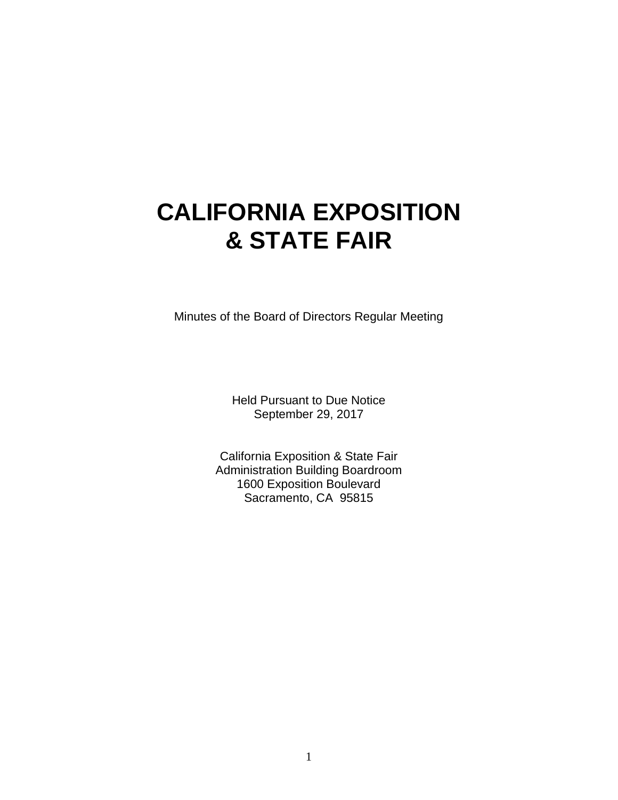# **CALIFORNIA EXPOSITION & STATE FAIR**

Minutes of the Board of Directors Regular Meeting

Held Pursuant to Due Notice September 29, 2017

California Exposition & State Fair Administration Building Boardroom 1600 Exposition Boulevard Sacramento, CA 95815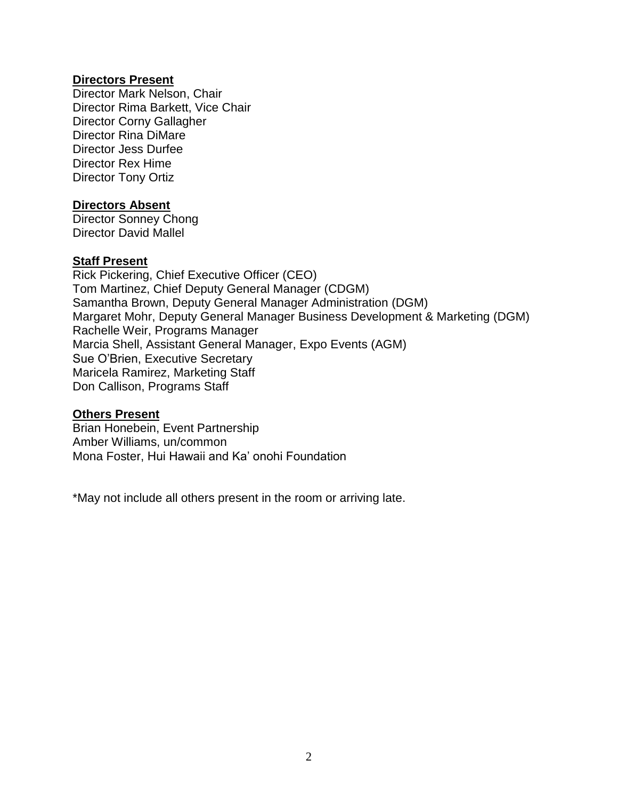## **Directors Present**

Director Mark Nelson, Chair Director Rima Barkett, Vice Chair Director Corny Gallagher Director Rina DiMare Director Jess Durfee Director Rex Hime Director Tony Ortiz

#### **Directors Absent**

Director Sonney Chong Director David Mallel

## **Staff Present**

Rick Pickering, Chief Executive Officer (CEO) Tom Martinez, Chief Deputy General Manager (CDGM) Samantha Brown, Deputy General Manager Administration (DGM) Margaret Mohr, Deputy General Manager Business Development & Marketing (DGM) Rachelle Weir, Programs Manager Marcia Shell, Assistant General Manager, Expo Events (AGM) Sue O'Brien, Executive Secretary Maricela Ramirez, Marketing Staff Don Callison, Programs Staff

#### **Others Present**

Brian Honebein, Event Partnership Amber Williams, un/common Mona Foster, Hui Hawaii and Ka' onohi Foundation

\*May not include all others present in the room or arriving late.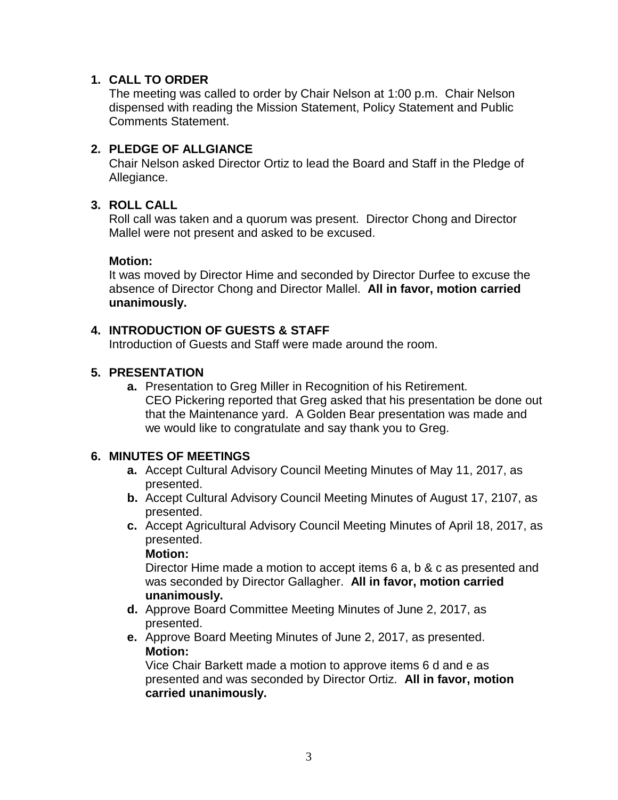## **1. CALL TO ORDER**

The meeting was called to order by Chair Nelson at 1:00 p.m. Chair Nelson dispensed with reading the Mission Statement, Policy Statement and Public Comments Statement.

# **2. PLEDGE OF ALLGIANCE**

Chair Nelson asked Director Ortiz to lead the Board and Staff in the Pledge of Allegiance.

## **3. ROLL CALL**

Roll call was taken and a quorum was present. Director Chong and Director Mallel were not present and asked to be excused.

#### **Motion:**

It was moved by Director Hime and seconded by Director Durfee to excuse the absence of Director Chong and Director Mallel. **All in favor, motion carried unanimously.**

## **4. INTRODUCTION OF GUESTS & STAFF**

Introduction of Guests and Staff were made around the room.

## **5. PRESENTATION**

**a.** Presentation to Greg Miller in Recognition of his Retirement. CEO Pickering reported that Greg asked that his presentation be done out that the Maintenance yard. A Golden Bear presentation was made and we would like to congratulate and say thank you to Greg.

## **6. MINUTES OF MEETINGS**

- **a.** Accept Cultural Advisory Council Meeting Minutes of May 11, 2017, as presented.
- **b.** Accept Cultural Advisory Council Meeting Minutes of August 17, 2107, as presented.
- **c.** Accept Agricultural Advisory Council Meeting Minutes of April 18, 2017, as presented.

**Motion:**

Director Hime made a motion to accept items 6 a, b & c as presented and was seconded by Director Gallagher. **All in favor, motion carried unanimously.**

- **d.** Approve Board Committee Meeting Minutes of June 2, 2017, as presented.
- **e.** Approve Board Meeting Minutes of June 2, 2017, as presented. **Motion:**

Vice Chair Barkett made a motion to approve items 6 d and e as presented and was seconded by Director Ortiz. **All in favor, motion carried unanimously.**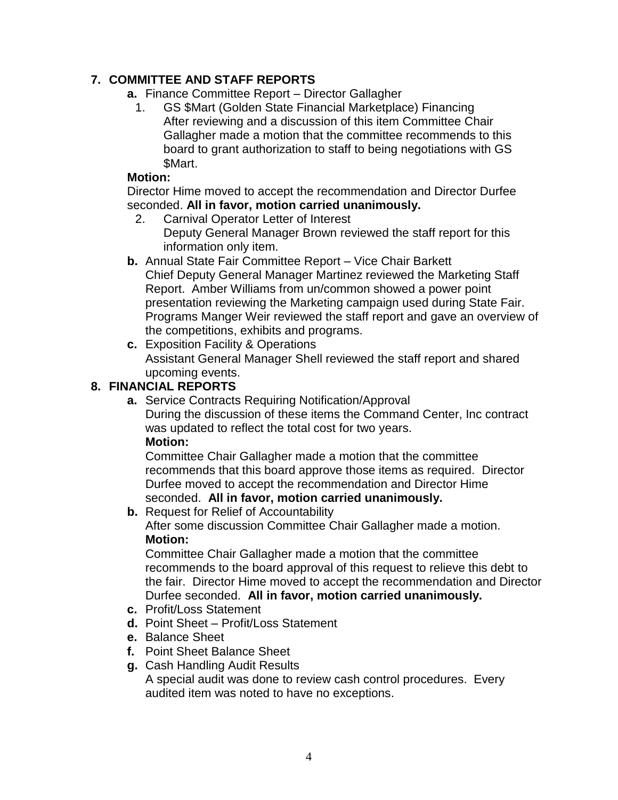# **7. COMMITTEE AND STAFF REPORTS**

- **a.** Finance Committee Report Director Gallagher
	- 1. GS \$Mart (Golden State Financial Marketplace) Financing After reviewing and a discussion of this item Committee Chair Gallagher made a motion that the committee recommends to this board to grant authorization to staff to being negotiations with GS \$Mart.

## **Motion:**

Director Hime moved to accept the recommendation and Director Durfee seconded. **All in favor, motion carried unanimously.**

2. Carnival Operator Letter of Interest

Deputy General Manager Brown reviewed the staff report for this information only item.

- **b.** Annual State Fair Committee Report Vice Chair Barkett Chief Deputy General Manager Martinez reviewed the Marketing Staff Report. Amber Williams from un/common showed a power point presentation reviewing the Marketing campaign used during State Fair. Programs Manger Weir reviewed the staff report and gave an overview of the competitions, exhibits and programs.
- **c.** Exposition Facility & Operations Assistant General Manager Shell reviewed the staff report and shared upcoming events.

# **8. FINANCIAL REPORTS**

**a.** Service Contracts Requiring Notification/Approval During the discussion of these items the Command Center, Inc contract was updated to reflect the total cost for two years. **Motion:**

Committee Chair Gallagher made a motion that the committee recommends that this board approve those items as required. Director Durfee moved to accept the recommendation and Director Hime seconded. **All in favor, motion carried unanimously.**

# **b.** Request for Relief of Accountability

After some discussion Committee Chair Gallagher made a motion. **Motion:**

Committee Chair Gallagher made a motion that the committee recommends to the board approval of this request to relieve this debt to the fair. Director Hime moved to accept the recommendation and Director Durfee seconded. **All in favor, motion carried unanimously.**

- **c.** Profit/Loss Statement
- **d.** Point Sheet Profit/Loss Statement
- **e.** Balance Sheet
- **f.** Point Sheet Balance Sheet
- **g.** Cash Handling Audit Results

A special audit was done to review cash control procedures. Every audited item was noted to have no exceptions.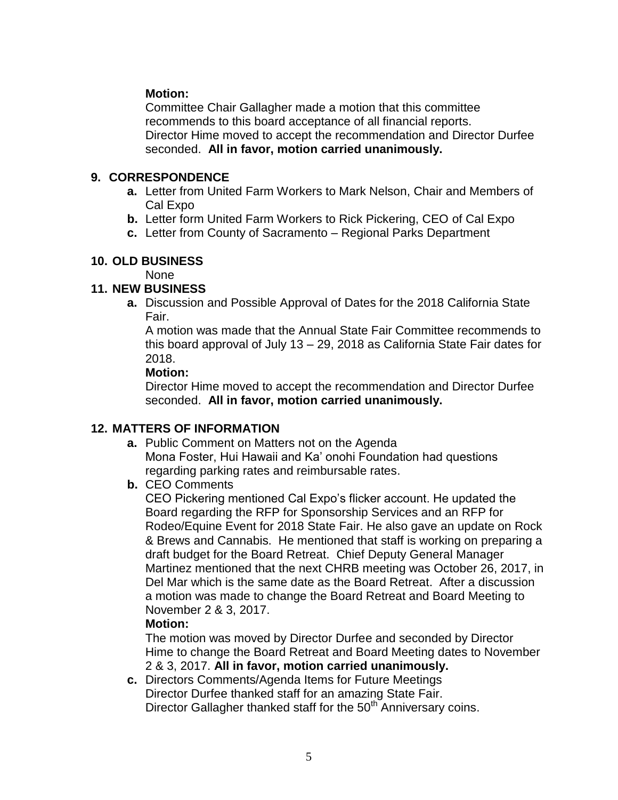# **Motion:**

Committee Chair Gallagher made a motion that this committee recommends to this board acceptance of all financial reports. Director Hime moved to accept the recommendation and Director Durfee seconded. **All in favor, motion carried unanimously.**

## **9. CORRESPONDENCE**

- **a.** Letter from United Farm Workers to Mark Nelson, Chair and Members of Cal Expo
- **b.** Letter form United Farm Workers to Rick Pickering, CEO of Cal Expo
- **c.** Letter from County of Sacramento Regional Parks Department

## **10. OLD BUSINESS**

None

# **11. NEW BUSINESS**

**a.** Discussion and Possible Approval of Dates for the 2018 California State Fair.

A motion was made that the Annual State Fair Committee recommends to this board approval of July 13 – 29, 2018 as California State Fair dates for 2018.

## **Motion:**

Director Hime moved to accept the recommendation and Director Durfee seconded. **All in favor, motion carried unanimously.**

# **12. MATTERS OF INFORMATION**

- **a.** Public Comment on Matters not on the Agenda Mona Foster, Hui Hawaii and Ka' onohi Foundation had questions regarding parking rates and reimbursable rates.
- **b.** CEO Comments

CEO Pickering mentioned Cal Expo's flicker account. He updated the Board regarding the RFP for Sponsorship Services and an RFP for Rodeo/Equine Event for 2018 State Fair. He also gave an update on Rock & Brews and Cannabis. He mentioned that staff is working on preparing a draft budget for the Board Retreat. Chief Deputy General Manager Martinez mentioned that the next CHRB meeting was October 26, 2017, in Del Mar which is the same date as the Board Retreat. After a discussion a motion was made to change the Board Retreat and Board Meeting to November 2 & 3, 2017.

## **Motion:**

The motion was moved by Director Durfee and seconded by Director Hime to change the Board Retreat and Board Meeting dates to November 2 & 3, 2017. **All in favor, motion carried unanimously.**

**c.** Directors Comments/Agenda Items for Future Meetings Director Durfee thanked staff for an amazing State Fair. Director Gallagher thanked staff for the 50<sup>th</sup> Anniversary coins.